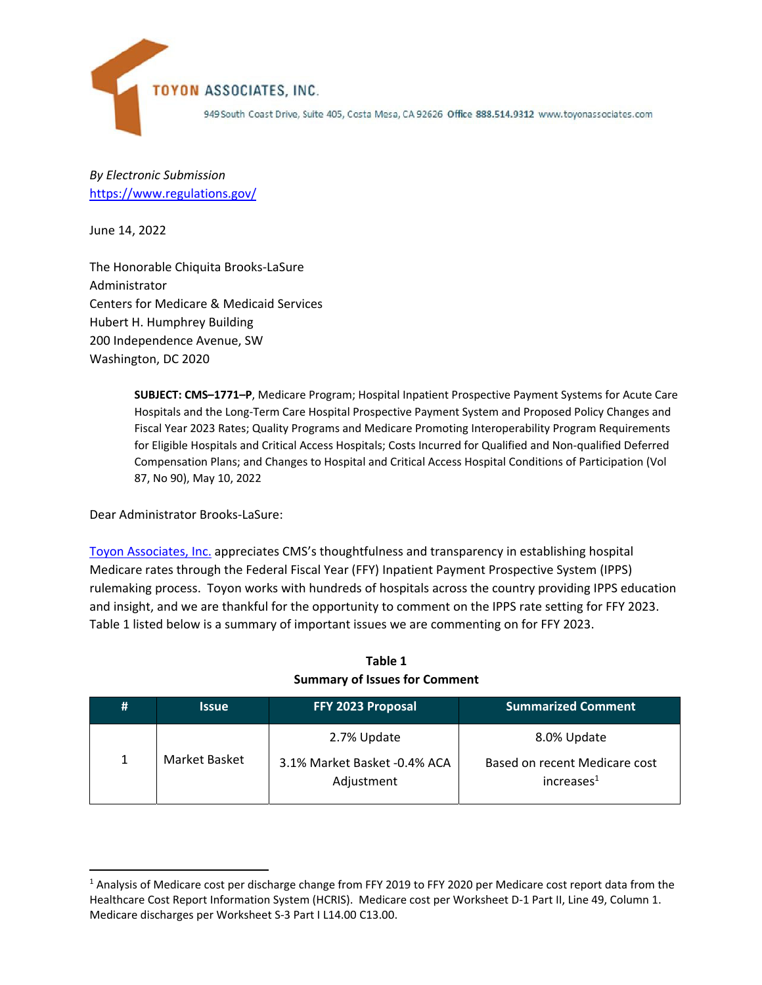

*By Electronic Submission* https://www.regulations.gov/

June 14, 2022

The Honorable Chiquita Brooks‐LaSure Administrator Centers for Medicare & Medicaid Services Hubert H. Humphrey Building 200 Independence Avenue, SW Washington, DC 2020

> **SUBJECT: CMS–1771–P**, Medicare Program; Hospital Inpatient Prospective Payment Systems for Acute Care Hospitals and the Long‐Term Care Hospital Prospective Payment System and Proposed Policy Changes and Fiscal Year 2023 Rates; Quality Programs and Medicare Promoting Interoperability Program Requirements for Eligible Hospitals and Critical Access Hospitals; Costs Incurred for Qualified and Non‐qualified Deferred Compensation Plans; and Changes to Hospital and Critical Access Hospital Conditions of Participation (Vol 87, No 90), May 10, 2022

Dear Administrator Brooks‐LaSure:

Toyon Associates, Inc. appreciates CMS's thoughtfulness and transparency in establishing hospital Medicare rates through the Federal Fiscal Year (FFY) Inpatient Payment Prospective System (IPPS) rulemaking process. Toyon works with hundreds of hospitals across the country providing IPPS education and insight, and we are thankful for the opportunity to comment on the IPPS rate setting for FFY 2023. Table 1 listed below is a summary of important issues we are commenting on for FFY 2023.

| # | <b>Issue</b>  | FFY 2023 Proposal                                         | <b>Summarized Comment</b>                                              |
|---|---------------|-----------------------------------------------------------|------------------------------------------------------------------------|
| 1 | Market Basket | 2.7% Update<br>3.1% Market Basket -0.4% ACA<br>Adjustment | 8.0% Update<br>Based on recent Medicare cost<br>increases <sup>1</sup> |

**Table 1 Summary of Issues for Comment**

<sup>&</sup>lt;sup>1</sup> Analysis of Medicare cost per discharge change from FFY 2019 to FFY 2020 per Medicare cost report data from the Healthcare Cost Report Information System (HCRIS). Medicare cost per Worksheet D‐1 Part II, Line 49, Column 1. Medicare discharges per Worksheet S‐3 Part I L14.00 C13.00.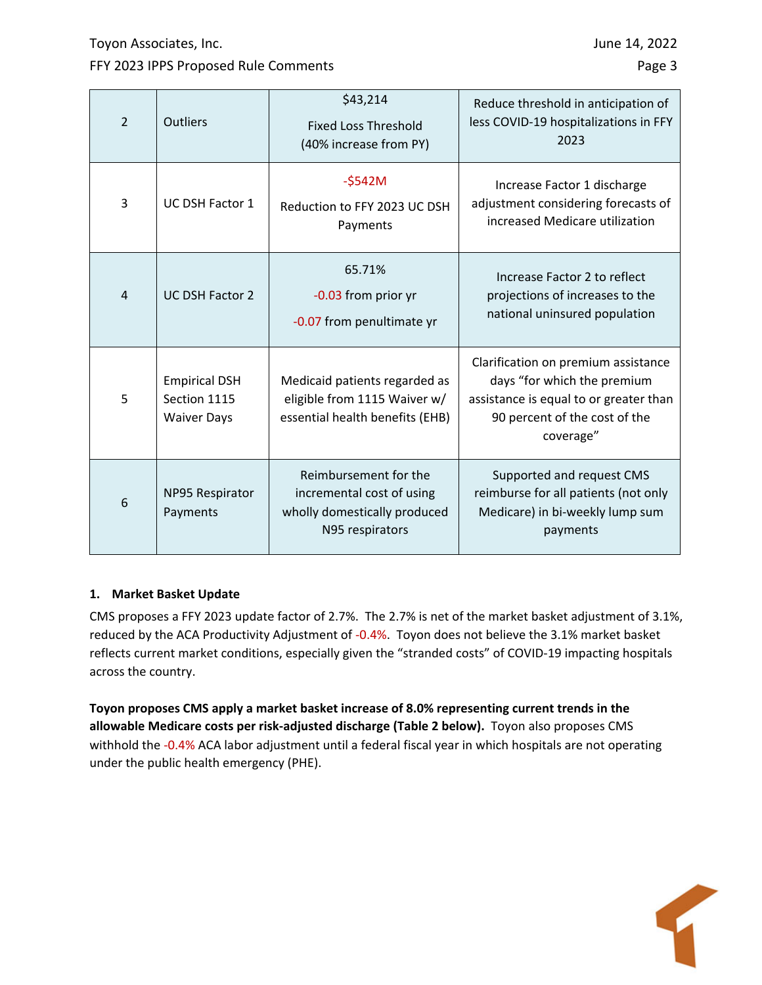Toyon Associates, Inc. **June 14, 2022** 

## FFY 2023 IPPS Proposed Rule Comments **Page 3** And the US and the Page 3 And the Page 3

 $\sqrt{2}$ 

| $\overline{2}$ | Outliers                                                   | \$43,214<br><b>Fixed Loss Threshold</b><br>(40% increase from PY)                                     | Reduce threshold in anticipation of<br>less COVID-19 hospitalizations in FFY<br>2023                                                                       |
|----------------|------------------------------------------------------------|-------------------------------------------------------------------------------------------------------|------------------------------------------------------------------------------------------------------------------------------------------------------------|
| 3              | UC DSH Factor 1                                            | $-5542M$<br>Reduction to FFY 2023 UC DSH<br>Payments                                                  | Increase Factor 1 discharge<br>adjustment considering forecasts of<br>increased Medicare utilization                                                       |
| 4              | <b>UC DSH Factor 2</b>                                     | 65.71%<br>-0.03 from prior yr<br>-0.07 from penultimate yr                                            | Increase Factor 2 to reflect<br>projections of increases to the<br>national uninsured population                                                           |
| 5              | <b>Empirical DSH</b><br>Section 1115<br><b>Waiver Days</b> | Medicaid patients regarded as<br>eligible from 1115 Waiver w/<br>essential health benefits (EHB)      | Clarification on premium assistance<br>days "for which the premium<br>assistance is equal to or greater than<br>90 percent of the cost of the<br>coverage" |
| 6              | NP95 Respirator<br>Payments                                | Reimbursement for the<br>incremental cost of using<br>wholly domestically produced<br>N95 respirators | Supported and request CMS<br>reimburse for all patients (not only<br>Medicare) in bi-weekly lump sum<br>payments                                           |

## **1. Market Basket Update**

CMS proposes a FFY 2023 update factor of 2.7%. The 2.7% is net of the market basket adjustment of 3.1%, reduced by the ACA Productivity Adjustment of ‐0.4%. Toyon does not believe the 3.1% market basket reflects current market conditions, especially given the "stranded costs" of COVID‐19 impacting hospitals across the country.

**Toyon proposes CMS apply a market basket increase of 8.0% representing current trends in the allowable Medicare costs per risk‐adjusted discharge (Table 2 below).** Toyon also proposes CMS withhold the -0.4% ACA labor adjustment until a federal fiscal year in which hospitals are not operating under the public health emergency (PHE).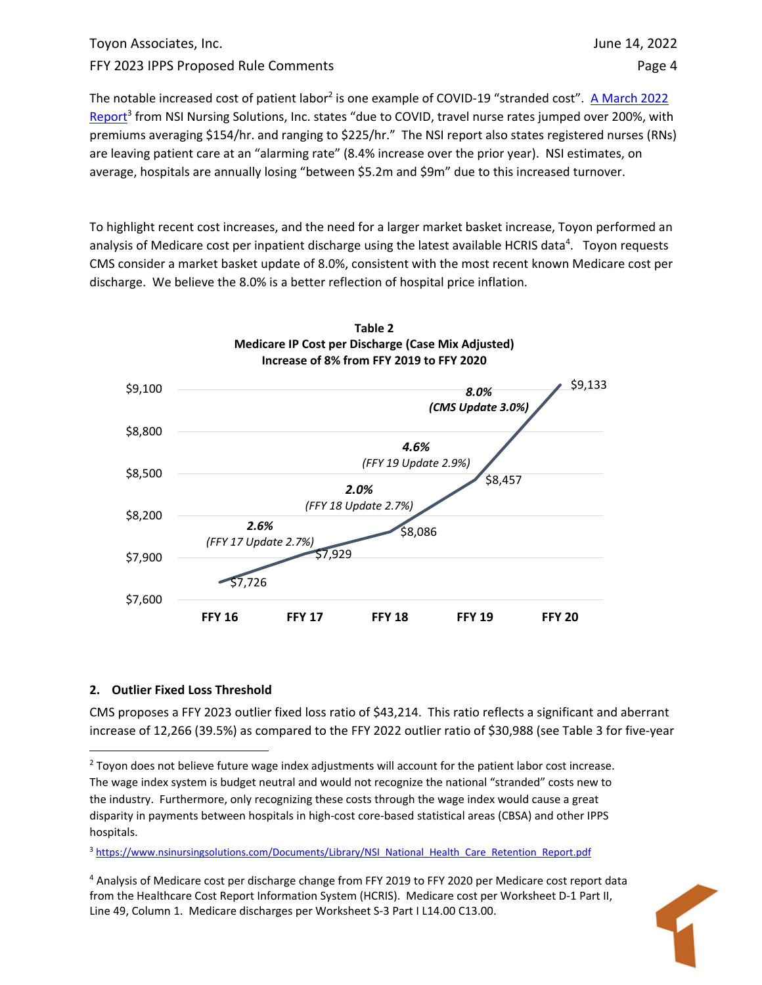# Toyon Associates, Inc. June 14, 2022 FFY 2023 IPPS Proposed Rule Comments **Page 4** and the state of the Page 4

The notable increased cost of patient labor<sup>2</sup> is one example of COVID-19 "stranded cost". A March 2022 Report<sup>3</sup> from NSI Nursing Solutions, Inc. states "due to COVID, travel nurse rates jumped over 200%, with premiums averaging \$154/hr. and ranging to \$225/hr." The NSI report also states registered nurses (RNs) are leaving patient care at an "alarming rate" (8.4% increase over the prior year). NSI estimates, on average, hospitals are annually losing "between \$5.2m and \$9m" due to this increased turnover.

To highlight recent cost increases, and the need for a larger market basket increase, Toyon performed an analysis of Medicare cost per inpatient discharge using the latest available HCRIS data<sup>4</sup>. Toyon requests CMS consider a market basket update of 8.0%, consistent with the most recent known Medicare cost per discharge. We believe the 8.0% is a better reflection of hospital price inflation.



## **2. Outlier Fixed Loss Threshold**

CMS proposes a FFY 2023 outlier fixed loss ratio of \$43,214. This ratio reflects a significant and aberrant increase of 12,266 (39.5%) as compared to the FFY 2022 outlier ratio of \$30,988 (see Table 3 for five‐year

3 https://www.nsinursingsolutions.com/Documents/Library/NSI\_National\_Health\_Care\_Retention\_Report.pdf

<sup>4</sup> Analysis of Medicare cost per discharge change from FFY 2019 to FFY 2020 per Medicare cost report data from the Healthcare Cost Report Information System (HCRIS). Medicare cost per Worksheet D‐1 Part II, Line 49, Column 1. Medicare discharges per Worksheet S‐3 Part I L14.00 C13.00.



<sup>&</sup>lt;sup>2</sup> Toyon does not believe future wage index adjustments will account for the patient labor cost increase. The wage index system is budget neutral and would not recognize the national "stranded" costs new to the industry. Furthermore, only recognizing these costs through the wage index would cause a great disparity in payments between hospitals in high-cost core-based statistical areas (CBSA) and other IPPS hospitals.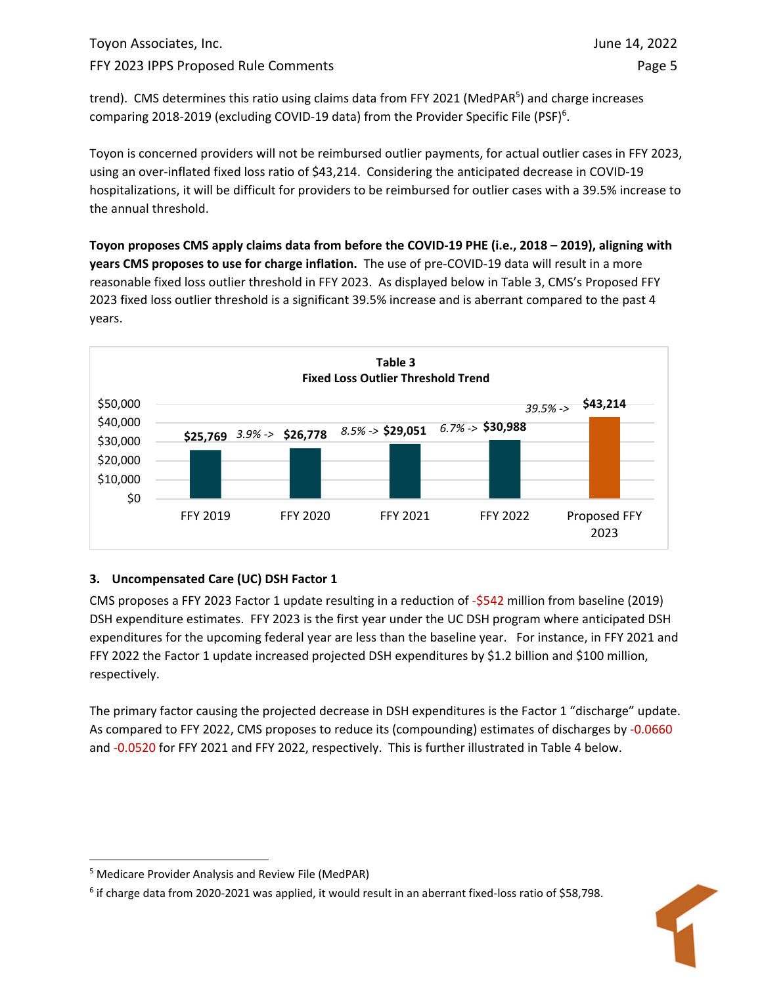trend). CMS determines this ratio using claims data from FFY 2021 (MedPAR<sup>5</sup>) and charge increases comparing 2018-2019 (excluding COVID-19 data) from the Provider Specific File (PSF)<sup>6</sup>.

Toyon is concerned providers will not be reimbursed outlier payments, for actual outlier cases in FFY 2023, using an over-inflated fixed loss ratio of \$43,214. Considering the anticipated decrease in COVID-19 hospitalizations, it will be difficult for providers to be reimbursed for outlier cases with a 39.5% increase to the annual threshold.

Toyon proposes CMS apply claims data from before the COVID-19 PHE (i.e., 2018 - 2019), aligning with **years CMS proposes to use for charge inflation.** The use of pre‐COVID‐19 data will result in a more reasonable fixed loss outlier threshold in FFY 2023. As displayed below in Table 3, CMS's Proposed FFY 2023 fixed loss outlier threshold is a significant 39.5% increase and is aberrant compared to the past 4 years.



# **3. Uncompensated Care (UC) DSH Factor 1**

CMS proposes a FFY 2023 Factor 1 update resulting in a reduction of ‐\$542 million from baseline (2019) DSH expenditure estimates. FFY 2023 is the first year under the UC DSH program where anticipated DSH expenditures for the upcoming federal year are less than the baseline year. For instance, in FFY 2021 and FFY 2022 the Factor 1 update increased projected DSH expenditures by \$1.2 billion and \$100 million, respectively.

The primary factor causing the projected decrease in DSH expenditures is the Factor 1 "discharge" update. As compared to FFY 2022, CMS proposes to reduce its (compounding) estimates of discharges by -0.0660 and -0.0520 for FFY 2021 and FFY 2022, respectively. This is further illustrated in Table 4 below.

<sup>6</sup> if charge data from 2020‐2021 was applied, it would result in an aberrant fixed‐loss ratio of \$58,798.



<sup>5</sup> Medicare Provider Analysis and Review File (MedPAR)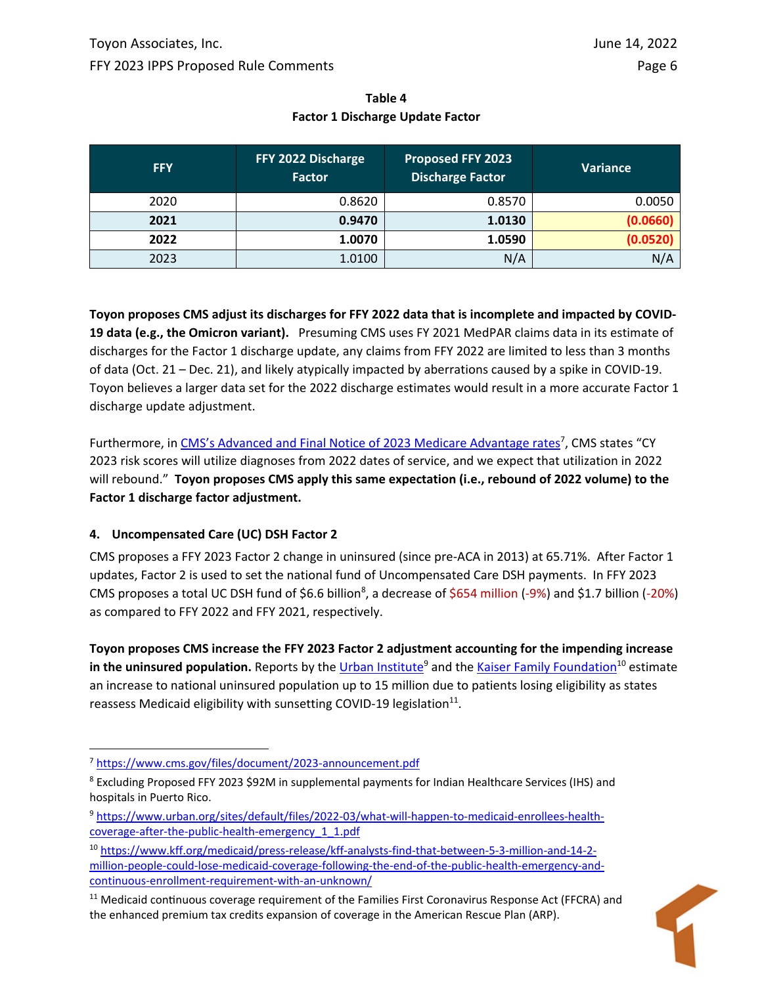| Table 4                                 |  |  |  |  |  |  |
|-----------------------------------------|--|--|--|--|--|--|
| <b>Factor 1 Discharge Update Factor</b> |  |  |  |  |  |  |

| <b>FFY</b> | FFY 2022 Discharge<br><b>Factor</b> | <b>Proposed FFY 2023</b><br><b>Discharge Factor</b> | Variance |
|------------|-------------------------------------|-----------------------------------------------------|----------|
| 2020       | 0.8620                              | 0.8570                                              | 0.0050   |
| 2021       | 0.9470                              | 1.0130                                              | (0.0660) |
| 2022       | 1.0070                              | 1.0590                                              | (0.0520) |
| 2023       | 1.0100                              | N/A                                                 | N/A      |

Toyon proposes CMS adjust its discharges for FFY 2022 data that is incomplete and impacted by COVID-**19 data (e.g., the Omicron variant).** Presuming CMS uses FY 2021 MedPAR claims data in its estimate of discharges for the Factor 1 discharge update, any claims from FFY 2022 are limited to less than 3 months of data (Oct. 21 – Dec. 21), and likely atypically impacted by aberrations caused by a spike in COVID‐19. Toyon believes a larger data set for the 2022 discharge estimates would result in a more accurate Factor 1 discharge update adjustment.

Furthermore, in CMS's Advanced and Final Notice of 2023 Medicare Advantage rates<sup>7</sup>, CMS states "CY 2023 risk scores will utilize diagnoses from 2022 dates of service, and we expect that utilization in 2022 will rebound." **Toyon proposes CMS apply this same expectation (i.e., rebound of 2022 volume) to the Factor 1 discharge factor adjustment.** 

## **4. Uncompensated Care (UC) DSH Factor 2**

CMS proposes a FFY 2023 Factor 2 change in uninsured (since pre‐ACA in 2013) at 65.71%. After Factor 1 updates, Factor 2 is used to set the national fund of Uncompensated Care DSH payments. In FFY 2023 CMS proposes a total UC DSH fund of \$6.6 billion<sup>8</sup>, a decrease of \$654 million (-9%) and \$1.7 billion (-20%) as compared to FFY 2022 and FFY 2021, respectively.

**Toyon proposes CMS increase the FFY 2023 Factor 2 adjustment accounting for the impending increase in the uninsured population.** Reports by the Urban Institute<sup>9</sup> and the Kaiser Family Foundation<sup>10</sup> estimate an increase to national uninsured population up to 15 million due to patients losing eligibility as states reassess Medicaid eligibility with sunsetting COVID-19 legislation<sup>11</sup>.

 $11$  Medicaid continuous coverage requirement of the Families First Coronavirus Response Act (FFCRA) and the enhanced premium tax credits expansion of coverage in the American Rescue Plan (ARP).



<sup>7</sup> https://www.cms.gov/files/document/2023‐announcement.pdf

<sup>8</sup> Excluding Proposed FFY 2023 \$92M in supplemental payments for Indian Healthcare Services (IHS) and hospitals in Puerto Rico.

<sup>9</sup> https://www.urban.org/sites/default/files/2022-03/what-will-happen-to-medicaid-enrollees-healthcoverage-after-the-public-health-emergency 1\_1.pdf

<sup>10</sup> https://www.kff.org/medicaid/press-release/kff-analysts-find-that-between-5-3-million-and-14-2million‐people‐could‐lose‐medicaid‐coverage‐following‐the‐end‐of‐the‐public‐health‐emergency‐and‐ continuous-enrollment-requirement-with-an-unknown/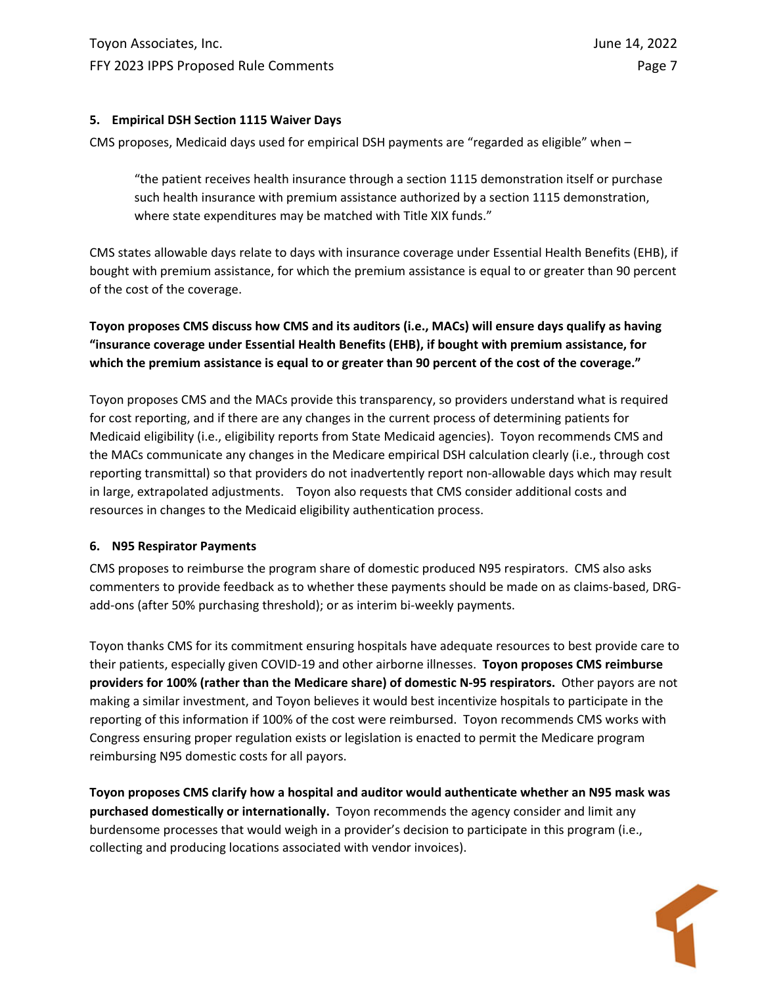## **5. Empirical DSH Section 1115 Waiver Days**

CMS proposes, Medicaid days used for empirical DSH payments are "regarded as eligible" when –

"the patient receives health insurance through a section 1115 demonstration itself or purchase such health insurance with premium assistance authorized by a section 1115 demonstration, where state expenditures may be matched with Title XIX funds."

CMS states allowable days relate to days with insurance coverage under Essential Health Benefits (EHB), if bought with premium assistance, for which the premium assistance is equal to or greater than 90 percent of the cost of the coverage.

**Toyon proposes CMS discuss how CMS and its auditors (i.e., MACs) will ensure days qualify as having "insurance coverage under Essential Health Benefits (EHB), if bought with premium assistance, for** which the premium assistance is equal to or greater than 90 percent of the cost of the coverage."

Toyon proposes CMS and the MACs provide this transparency, so providers understand what is required for cost reporting, and if there are any changes in the current process of determining patients for Medicaid eligibility (i.e., eligibility reports from State Medicaid agencies). Toyon recommends CMS and the MACs communicate any changes in the Medicare empirical DSH calculation clearly (i.e., through cost reporting transmittal) so that providers do not inadvertently report non‐allowable days which may result in large, extrapolated adjustments. Toyon also requests that CMS consider additional costs and resources in changes to the Medicaid eligibility authentication process.

## **6. N95 Respirator Payments**

CMS proposes to reimburse the program share of domestic produced N95 respirators. CMS also asks commenters to provide feedback as to whether these payments should be made on as claims‐based, DRG‐ add‐ons (after 50% purchasing threshold); or as interim bi‐weekly payments.

Toyon thanks CMS for its commitment ensuring hospitals have adequate resources to best provide care to their patients, especially given COVID‐19 and other airborne illnesses. **Toyon proposes CMS reimburse providers for 100% (rather than the Medicare share) of domestic N‐95 respirators.** Other payors are not making a similar investment, and Toyon believes it would best incentivize hospitals to participate in the reporting of this information if 100% of the cost were reimbursed. Toyon recommends CMS works with Congress ensuring proper regulation exists or legislation is enacted to permit the Medicare program reimbursing N95 domestic costs for all payors.

**Toyon proposes CMS clarify how a hospital and auditor would authenticate whether an N95 mask was purchased domestically or internationally.** Toyon recommends the agency consider and limit any burdensome processes that would weigh in a provider's decision to participate in this program (i.e., collecting and producing locations associated with vendor invoices).